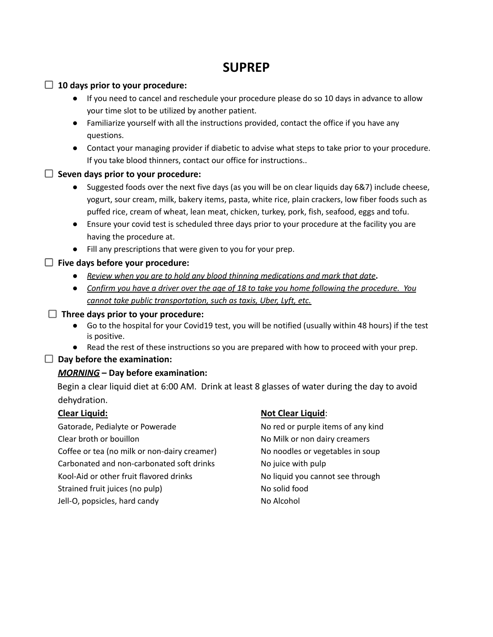# **SUPREP**

#### **10 days prior to your procedure:**

- If you need to cancel and reschedule your procedure please do so 10 days in advance to allow your time slot to be utilized by another patient.
- Familiarize yourself with all the instructions provided, contact the office if you have any questions.
- Contact your managing provider if diabetic to advise what steps to take prior to your procedure. If you take blood thinners, contact our office for instructions..

## **Seven days prior to your procedure:**

- Suggested foods over the next five days (as you will be on clear liquids day 6&7) include cheese, yogurt, sour cream, milk, bakery items, pasta, white rice, plain crackers, low fiber foods such as puffed rice, cream of wheat, lean meat, chicken, turkey, pork, fish, seafood, eggs and tofu.
- Ensure your covid test is scheduled three days prior to your procedure at the facility you are having the procedure at.
- Fill any prescriptions that were given to you for your prep.

#### **Five days before your procedure:**

- **●** *Review when you are to hold any blood thinning medications and mark that date***.**
- Confirm you have a driver over the age of 18 to take you home following the procedure. You *cannot take public transportation, such as taxis, Uber, Lyft, etc.*

#### **Three days prior to your procedure:**

- Go to the hospital for your Covid19 test, you will be notified (usually within 48 hours) if the test is positive.
- Read the rest of these instructions so you are prepared with how to proceed with your prep.

#### **Day before the examination:**

## *MORNING* **– Day before examination:**

Begin a clear liquid diet at 6:00 AM. Drink at least 8 glasses of water during the day to avoid dehydration.

Gatorade, Pedialyte or Powerade No red or purple items of any kind Clear broth or bouillon No Milk or non dairy creamers Coffee or tea (no milk or non-dairy creamer) No noodles or vegetables in soup Carbonated and non-carbonated soft drinks No juice with pulp Kool-Aid or other fruit flavored drinks No liquid you cannot see through Strained fruit juices (no pulp) No solid food Jell-O, popsicles, hard candy No Alcohol

## **Clear Liquid: Not Clear Liquid**: